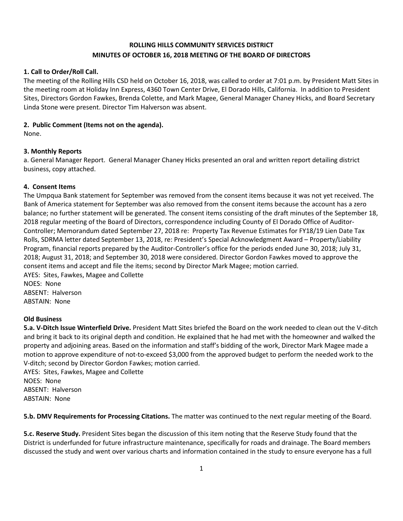# **ROLLING HILLS COMMUNITY SERVICES DISTRICT MINUTES OF OCTOBER 16, 2018 MEETING OF THE BOARD OF DIRECTORS**

#### **1. Call to Order/Roll Call.**

The meeting of the Rolling Hills CSD held on October 16, 2018, was called to order at 7:01 p.m. by President Matt Sites in the meeting room at Holiday Inn Express, 4360 Town Center Drive, El Dorado Hills, California. In addition to President Sites, Directors Gordon Fawkes, Brenda Colette, and Mark Magee, General Manager Chaney Hicks, and Board Secretary Linda Stone were present. Director Tim Halverson was absent.

#### **2. Public Comment (Items not on the agenda).**

None.

# **3. Monthly Reports**

a. General Manager Report. General Manager Chaney Hicks presented an oral and written report detailing district business, copy attached.

#### **4. Consent Items**

The Umpqua Bank statement for September was removed from the consent items because it was not yet received. The Bank of America statement for September was also removed from the consent items because the account has a zero balance; no further statement will be generated. The consent items consisting of the draft minutes of the September 18, 2018 regular meeting of the Board of Directors, correspondence including County of El Dorado Office of Auditor-Controller; Memorandum dated September 27, 2018 re: Property Tax Revenue Estimates for FY18/19 Lien Date Tax Rolls, SDRMA letter dated September 13, 2018, re: President's Special Acknowledgment Award – Property/Liability Program, financial reports prepared by the Auditor-Controller's office for the periods ended June 30, 2018; July 31, 2018; August 31, 2018; and September 30, 2018 were considered. Director Gordon Fawkes moved to approve the consent items and accept and file the items; second by Director Mark Magee; motion carried. AYES: Sites, Fawkes, Magee and Collette NOES: None

ABSENT: Halverson ABSTAIN: None

# **Old Business**

**5.a. V-Ditch Issue Winterfield Drive.** President Matt Sites briefed the Board on the work needed to clean out the V-ditch and bring it back to its original depth and condition. He explained that he had met with the homeowner and walked the property and adjoining areas. Based on the information and staff's bidding of the work, Director Mark Magee made a motion to approve expenditure of not-to-exceed \$3,000 from the approved budget to perform the needed work to the V-ditch; second by Director Gordon Fawkes; motion carried.

AYES: Sites, Fawkes, Magee and Collette NOES: None ABSENT: Halverson ABSTAIN: None

**5.b. DMV Requirements for Processing Citations.** The matter was continued to the next regular meeting of the Board.

**5.c. Reserve Study.** President Sites began the discussion of this item noting that the Reserve Study found that the District is underfunded for future infrastructure maintenance, specifically for roads and drainage. The Board members discussed the study and went over various charts and information contained in the study to ensure everyone has a full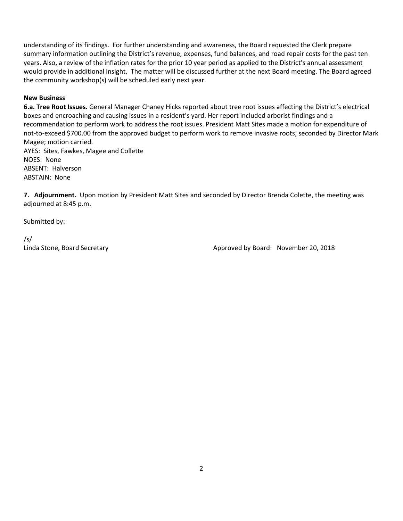understanding of its findings. For further understanding and awareness, the Board requested the Clerk prepare summary information outlining the District's revenue, expenses, fund balances, and road repair costs for the past ten years. Also, a review of the inflation rates for the prior 10 year period as applied to the District's annual assessment would provide in additional insight. The matter will be discussed further at the next Board meeting. The Board agreed the community workshop(s) will be scheduled early next year.

# **New Business**

**6.a. Tree Root Issues.** General Manager Chaney Hicks reported about tree root issues affecting the District's electrical boxes and encroaching and causing issues in a resident's yard. Her report included arborist findings and a recommendation to perform work to address the root issues. President Matt Sites made a motion for expenditure of not-to-exceed \$700.00 from the approved budget to perform work to remove invasive roots; seconded by Director Mark Magee; motion carried.

AYES: Sites, Fawkes, Magee and Collette NOES: None ABSENT: Halverson ABSTAIN: None

**7. Adjournment.** Upon motion by President Matt Sites and seconded by Director Brenda Colette, the meeting was adjourned at 8:45 p.m.

Submitted by:

/s/

Linda Stone, Board Secretary **Approved by Board: November 20, 2018** Approved by Board: November 20, 2018